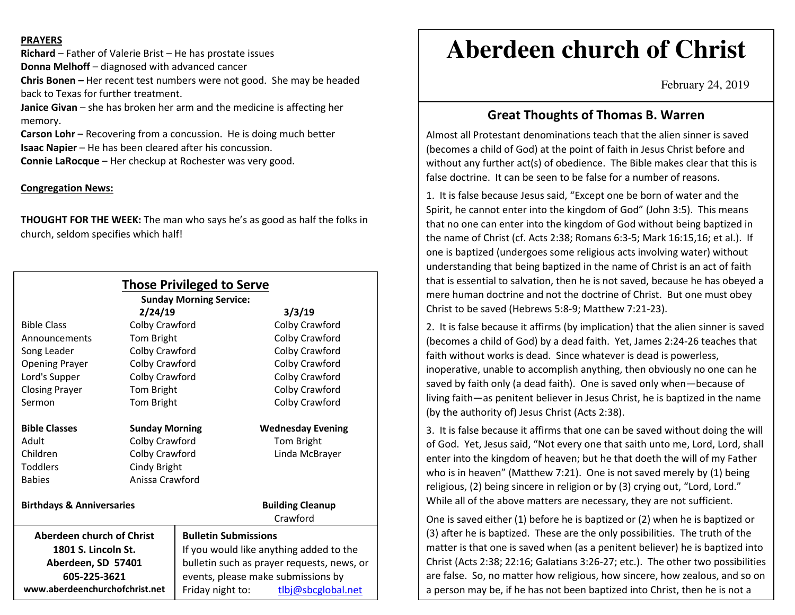#### **PRAYERS**

**Richard** – Father of Valerie Brist – He has prostate issues **Donna Melhoff** – diagnosed with advanced cancer

**Chris Bonen –** Her recent test numbers were not good. She may be headed back to Texas for further treatment.

**Janice Givan** – she has broken her arm and the medicine is affecting her memory.

**Carson Lohr** – Recovering from a concussion. He is doing much better **Isaac Napier** – He has been cleared after his concussion.

**Connie LaRocque** – Her checkup at Rochester was very good.

#### **Congregation News:**

**THOUGHT FOR THE WEEK:** The man who says he's as good as half the folks in church, seldom specifies which half!

| <b>Those Privileged to Serve</b><br><b>Sunday Morning Service:</b> |                       |                                            |                          |
|--------------------------------------------------------------------|-----------------------|--------------------------------------------|--------------------------|
| 2/24/19                                                            |                       | 3/3/19                                     |                          |
| <b>Bible Class</b>                                                 | Colby Crawford        |                                            | Colby Crawford           |
| Announcements                                                      | Tom Bright            |                                            | Colby Crawford           |
| Song Leader                                                        | Colby Crawford        |                                            | Colby Crawford           |
| <b>Opening Prayer</b>                                              | Colby Crawford        |                                            | Colby Crawford           |
| Lord's Supper                                                      | Colby Crawford        |                                            | Colby Crawford           |
| <b>Closing Prayer</b>                                              | Tom Bright            |                                            | Colby Crawford           |
| Sermon                                                             | Tom Bright            |                                            | Colby Crawford           |
| <b>Bible Classes</b>                                               | <b>Sunday Morning</b> |                                            | <b>Wednesday Evening</b> |
| Adult                                                              | Colby Crawford        |                                            | Tom Bright               |
| Children                                                           | Colby Crawford        |                                            | Linda McBrayer           |
| <b>Toddlers</b>                                                    | Cindy Bright          |                                            |                          |
| <b>Babies</b>                                                      | Anissa Crawford       |                                            |                          |
| <b>Birthdays &amp; Anniversaries</b>                               |                       |                                            | <b>Building Cleanup</b>  |
|                                                                    |                       |                                            | Crawford                 |
| Aberdeen church of Christ                                          |                       | <b>Bulletin Submissions</b>                |                          |
| 1801 S. Lincoln St.                                                |                       | If you would like anything added to the    |                          |
| Aberdeen, SD 57401                                                 |                       | bulletin such as prayer requests, news, or |                          |
| 605-225-3621                                                       |                       | events, please make submissions by         |                          |
| www.aberdeenchurchofchrist.net                                     |                       | Friday night to:                           | tlbj@sbcglobal.net       |

# **Aberdeen church of Christ**

February 24, 2019

### **Great Thoughts of Thomas B. Warren**

Almost all Protestant denominations teach that the alien sinner is saved (becomes a child of God) at the point of faith in Jesus Christ before and without any further act(s) of obedience. The Bible makes clear that this is false doctrine. It can be seen to be false for a number of reasons.

1. It is false because Jesus said, "Except one be born of water and the Spirit, he cannot enter into the kingdom of God" (John 3:5). This means that no one can enter into the kingdom of God without being baptized in the name of Christ (cf. Acts 2:38; Romans 6:3-5; Mark 16:15,16; et al.). If one is baptized (undergoes some religious acts involving water) without understanding that being baptized in the name of Christ is an act of faith that is essential to salvation, then he is not saved, because he has obeyed a mere human doctrine and not the doctrine of Christ. But one must obey Christ to be saved (Hebrews 5:8-9; Matthew 7:21-23).

2. It is false because it affirms (by implication) that the alien sinner is saved (becomes a child of God) by a dead faith. Yet, James 2:24-26 teaches that faith without works is dead. Since whatever is dead is powerless, inoperative, unable to accomplish anything, then obviously no one can he saved by faith only (a dead faith). One is saved only when—because of living faith—as penitent believer in Jesus Christ, he is baptized in the name (by the authority of) Jesus Christ (Acts 2:38).

3. It is false because it affirms that one can be saved without doing the will of God. Yet, Jesus said, "Not every one that saith unto me, Lord, Lord, shall enter into the kingdom of heaven; but he that doeth the will of my Father who is in heaven" (Matthew 7:21). One is not saved merely by (1) being religious, (2) being sincere in religion or by (3) crying out, "Lord, Lord." While all of the above matters are necessary, they are not sufficient.

One is saved either (1) before he is baptized or (2) when he is baptized or (3) after he is baptized. These are the only possibilities. The truth of the matter is that one is saved when (as a penitent believer) he is baptized into Christ (Acts 2:38; 22:16; Galatians 3:26-27; etc.). The other two possibilities are false. So, no matter how religious, how sincere, how zealous, and so on a person may be, if he has not been baptized into Christ, then he is not a